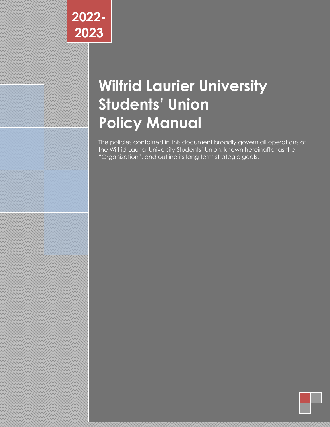# **Wilfrid Laurier University Students' Union Policy Manual**

The policies contained in this document broadly govern all operations of the Wilfrid Laurier University Students' Union, known hereinafter as the "Organization", and outline its long term strategic goals.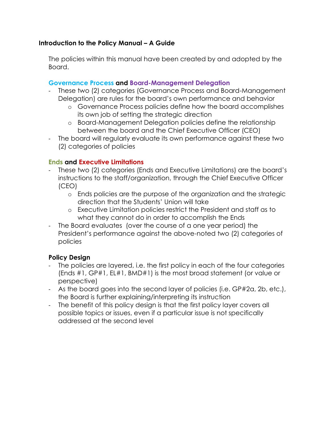#### **Introduction to the Policy Manual – A Guide**

The policies within this manual have been created by and adopted by the Board.

#### **Governance Process and Board-Management Delegation**

- These two (2) categories (Governance Process and Board-Management Delegation) are rules for the board's own performance and behavior
	- o Governance Process policies define how the board accomplishes its own job of setting the strategic direction
	- o Board-Management Delegation policies define the relationship between the board and the Chief Executive Officer (CEO)
- The board will regularly evaluate its own performance against these two (2) categories of policies

#### **Ends and Executive Limitations**

- These two (2) categories (Ends and Executive Limitations) are the board's instructions to the staff/organization, through the Chief Executive Officer (CEO)
	- o Ends policies are the purpose of the organization and the strategic direction that the Students' Union will take
	- o Executive Limitation policies restrict the President and staff as to what they cannot do in order to accomplish the Ends
- The Board evaluates (over the course of a one year period) the President's performance against the above-noted two (2) categories of policies

#### **Policy Design**

- The policies are layered, i.e. the first policy in each of the four categories (Ends #1, GP#1, EL#1, BMD#1) is the most broad statement (or value or perspective)
- As the board goes into the second layer of policies (i.e. GP#2a, 2b, etc.), the Board is further explaining/interpreting its instruction
- The benefit of this policy design is that the first policy layer covers all possible topics or issues, even if a particular issue is not specifically addressed at the second level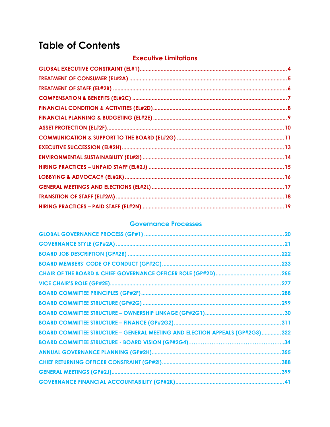## **Table of Contents**

### **Executive Limitations**

### **Governance Processes**

| <b>BOARD COMMITTEE STRUCTURE - GENERAL MEETING AND ELECTION APPEALS (GP#2G3)322</b> |  |
|-------------------------------------------------------------------------------------|--|
|                                                                                     |  |
|                                                                                     |  |
|                                                                                     |  |
|                                                                                     |  |
|                                                                                     |  |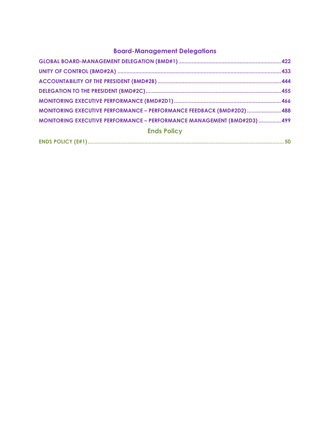## **Board-Management Delegations**

| MONITORING EXECUTIVE PERFORMANCE - PERFORMANCE FEEDBACK (BMD#2D2) 488    |  |
|--------------------------------------------------------------------------|--|
| MONITORING EXECUTIVE PERFORMANCE - PERFORMANCE MANAGEMENT (BMD#2D3)  499 |  |
| <b>Ends Policy</b>                                                       |  |
|                                                                          |  |

|--|--|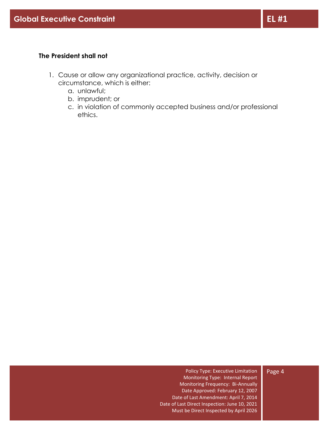#### <span id="page-4-0"></span>**The President shall not**

- 1. Cause or allow any organizational practice, activity, decision or circumstance, which is either:
	- a. unlawful;
	- b. imprudent; or
	- c. in violation of commonly accepted business and/or professional ethics.

#### Policy Type: Executive Limitation Monitoring Type: Internal Report Monitoring Frequency: Bi-Annually Date Approved: February 12, 2007 Date of Last Amendment: April 7, 2014 Date of Last Direct Inspection: June 10, 2021 Must be Direct Inspected by April 2026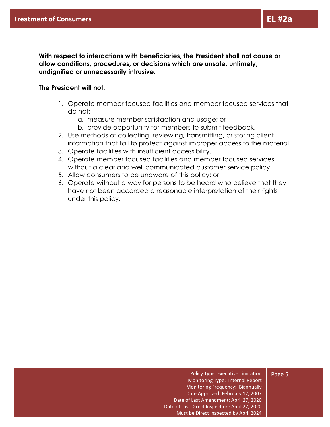**With respect to interactions with beneficiaries, the President shall not cause or allow conditions, procedures, or decisions which are unsafe, untimely, undignified or unnecessarily intrusive.**

#### <span id="page-5-0"></span>**The President will not:**

- 1. Operate member focused facilities and member focused services that do not:
	- a. measure member satisfaction and usage; or
	- b. provide opportunity for members to submit feedback.
- 2. Use methods of collecting, reviewing, transmitting, or storing client information that fail to protect against improper access to the material.
- 3. Operate facilities with insufficient accessibility.
- 4. Operate member focused facilities and member focused services without a clear and well communicated customer service policy.
- 5. Allow consumers to be unaware of this policy; or
- 6. Operate without a way for persons to be heard who believe that they have not been accorded a reasonable interpretation of their rights under this policy.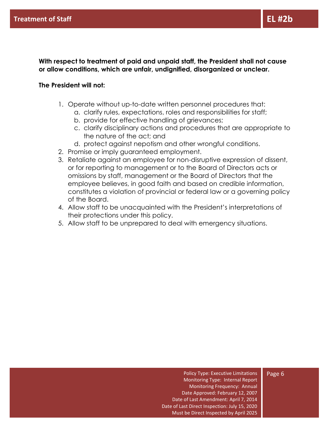**With respect to treatment of paid and unpaid staff, the President shall not cause or allow conditions, which are unfair, undignified, disorganized or unclear.**

#### <span id="page-6-0"></span>**The President will not:**

- 1. Operate without up-to-date written personnel procedures that:
	- a. clarify rules, expectations, roles and responsibilities for staff;
	- b. provide for effective handling of grievances;
	- c. clarify disciplinary actions and procedures that are appropriate to the nature of the act; and
	- d. protect against nepotism and other wrongful conditions.
- 2. Promise or imply guaranteed employment.
- 3. Retaliate against an employee for non-disruptive expression of dissent, or for reporting to management or to the Board of Directors acts or omissions by staff, management or the Board of Directors that the employee believes, in good faith and based on credible information, constitutes a violation of provincial or federal law or a governing policy of the Board.
- 4. Allow staff to be unacquainted with the President's interpretations of their protections under this policy.
- 5. Allow staff to be unprepared to deal with emergency situations.

#### Page 6

Monitoring Type: Internal Report Monitoring Frequency: Annual Date Approved: February 12, 2007 Date of Last Amendment: April 7, 2014 Date of Last Direct Inspection: July 15, 2020 Must be Direct Inspected by April 2025

Policy Type: Executive Limitations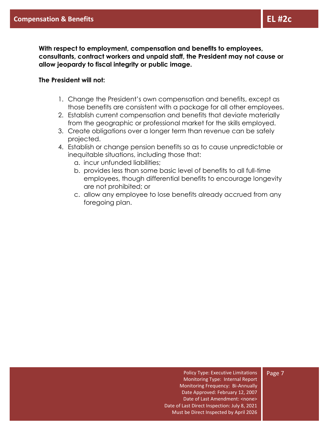**With respect to employment, compensation and benefits to employees, consultants, contract workers and unpaid staff, the President may not cause or allow jeopardy to fiscal integrity or public image.**

#### <span id="page-7-0"></span>**The President will not:**

- 1. Change the President's own compensation and benefits, except as those benefits are consistent with a package for all other employees.
- 2. Establish current compensation and benefits that deviate materially from the geographic or professional market for the skills employed.
- 3. Create obligations over a longer term than revenue can be safely projected.
- 4. Establish or change pension benefits so as to cause unpredictable or inequitable situations, including those that:
	- a. incur unfunded liabilities;
	- b. provides less than some basic level of benefits to all full-time employees, though differential benefits to encourage longevity are not prohibited; or
	- c. allow any employee to lose benefits already accrued from any foregoing plan.

Policy Type: Executive Limitations Monitoring Type: Internal Report Monitoring Frequency: Bi-Annually Date Approved: February 12, 2007 Date of Last Amendment: <none> Date of Last Direct Inspection: July 8, 2021 Must be Direct Inspected by April 2026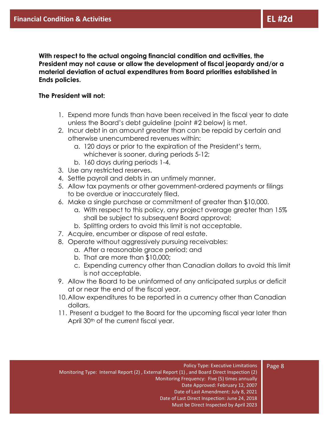**With respect to the actual ongoing financial condition and activities, the President may not cause or allow the development of fiscal jeopardy and/or a material deviation of actual expenditures from Board priorities established in Ends policies.**

#### <span id="page-8-0"></span>**The President will not:**

- 1. Expend more funds than have been received in the fiscal year to date unless the Board's debt guideline (point #2 below) is met.
- 2. Incur debt in an amount greater than can be repaid by certain and otherwise unencumbered revenues within:
	- a. 120 days or prior to the expiration of the President's term, whichever is sooner, during periods 5-12;
	- b. 160 days during periods 1-4.
- 3. Use any restricted reserves.
- 4. Settle payroll and debts in an untimely manner.
- 5. Allow tax payments or other government-ordered payments or filings to be overdue or inaccurately filed.
- 6. Make a single purchase or commitment of greater than \$10,000.
	- a. With respect to this policy, any project overage greater than 15% shall be subject to subsequent Board approval;
	- b. Splitting orders to avoid this limit is not acceptable.
- 7. Acquire, encumber or dispose of real estate.
- 8. Operate without aggressively pursuing receivables:
	- a. After a reasonable grace period; and
	- b. That are more than \$10,000;
	- c. Expending currency other than Canadian dollars to avoid this limit is not acceptable.
- 9. Allow the Board to be uninformed of any anticipated surplus or deficit at or near the end of the fiscal year.
- 10.Allow expenditures to be reported in a currency other than Canadian dollars.
- 11. Present a budget to the Board for the upcoming fiscal year later than April 30<sup>th</sup> of the current fiscal year.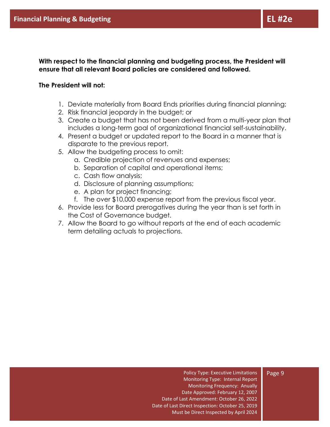**With respect to the financial planning and budgeting process, the President will ensure that all relevant Board policies are considered and followed.**

#### <span id="page-9-0"></span>**The President will not:**

- 1. Deviate materially from Board Ends priorities during financial planning;
- 2. Risk financial jeopardy in the budget; or
- 3. Create a budget that has not been derived from a multi-year plan that includes a long-term goal of organizational financial self-sustainability.
- 4. Present a budget or updated report to the Board in a manner that is disparate to the previous report.
- 5. Allow the budgeting process to omit:
	- a. Credible projection of revenues and expenses;
	- b. Separation of capital and operational items;
	- c. Cash flow analysis;
	- d. Disclosure of planning assumptions;
	- e. A plan for project financing;
	- f. The over \$10,000 expense report from the previous fiscal year.
- 6. Provide less for Board prerogatives during the year than is set forth in the Cost of Governance budget.
- 7. Allow the Board to go without reports at the end of each academic term detailing actuals to projections.

Policy Type: Executive Limitations Monitoring Type: Internal Report Monitoring Frequency: Anually Date Approved: February 12, 2007 Date of Last Amendment: October 26, 2022 Date of Last Direct Inspection: October 25, 2019 Must be Direct Inspected by April 2024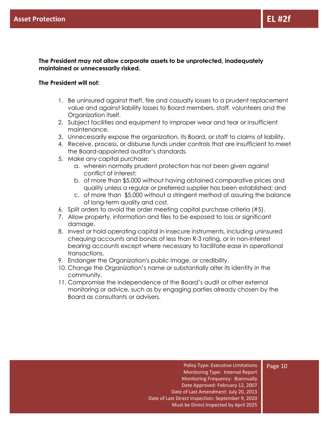**The President may not allow corporate assets to be unprotected, inadequately maintained or unnecessarily risked.**

#### <span id="page-10-0"></span>**The President will not:**

- 1. Be uninsured against theft, fire and casualty losses to a prudent replacement value and against liability losses to Board members, staff, volunteers and the Organization itself.
- 2. Subject facilities and equipment to improper wear and tear or insufficient maintenance.
- 3. Unnecessarily expose the organization, its Board, or staff to claims of liability.
- 4. Receive, process, or disburse funds under controls that are insufficient to meet the Board-appointed auditor's standards.
- 5. Make any capital purchase:
	- a. wherein normally prudent protection has not been given against conflict of interest;
	- b. of more than \$5,000 without having obtained comparative prices and quality unless a regular or preferred supplier has been established; and
	- c. of more than \$5,000 without a stringent method of assuring the balance of long-term quality and cost.
- 6. Split orders to avoid the order meeting capital purchase criteria (#5).
- 7. Allow property, information and files to be exposed to loss or significant damage.
- 8. Invest or hold operating capital in insecure instruments, including uninsured chequing accounts and bonds of less than R-3 rating, or in non-interest bearing accounts except where necessary to facilitate ease in operational transactions.
- 9. Endanger the Organization's public image, or credibility.
- 10. Change the Organization's name or substantially alter its identity in the community.
- 11. Compromise the independence of the Board's audit or other external monitoring or advice, such as by engaging parties already chosen by the Board as consultants or advisers.

#### Page 10

Monitoring Type: Internal Report Monitoring Frequency: Biannually Date Approved: February 12, 2007 Date of Last Amendment: July 20, 2013 Date of Last Direct Inspection: September 9, 2020 Must be Direct Inspected by April 2025

Policy Type: Executive Limitations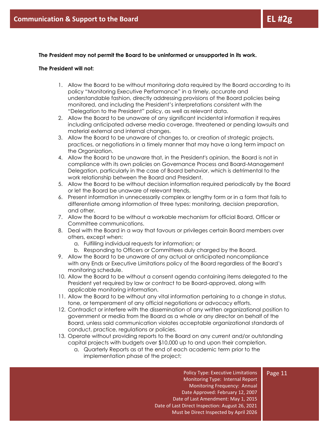#### **The President may not permit the Board to be uninformed or unsupported in its work.**

#### <span id="page-11-0"></span>**The President will not:**

- 1. Allow the Board to be without monitoring data required by the Board according to its policy "Monitoring Executive Performance" in a timely, accurate and understandable fashion, directly addressing provisions of the Board policies being monitored, and including the President's interpretations consistent with the "Delegation to the President" policy, as well as relevant data.
- 2. Allow the Board to be unaware of any significant incidental information it requires including anticipated adverse media coverage, threatened or pending lawsuits and material external and internal changes.
- 3. Allow the Board to be unaware of changes to, or creation of strategic projects, practices, or negotiations in a timely manner that may have a long term impact on the Organization.
- 4. Allow the Board to be unaware that, in the President's opinion, the Board is not in compliance with its own policies on Governance Process and Board-Management Delegation, particularly in the case of Board behavior, which is detrimental to the work relationship between the Board and President.
- 5. Allow the Board to be without decision information required periodically by the Board or let the Board be unaware of relevant trends.
- 6. Present information in unnecessarily complex or lengthy form or in a form that fails to differentiate among information of three types: monitoring, decision preparation, and other.
- 7. Allow the Board to be without a workable mechanism for official Board, Officer or Committee communications.
- 8. Deal with the Board in a way that favours or privileges certain Board members over others, except when:
	- a. Fulfilling individual requests for information; or
	- b. Responding to Officers or Committees duly charged by the Board.
- 9. Allow the Board to be unaware of any actual or anticipated noncompliance with any Ends or Executive Limitations policy of the Board regardless of the Board's monitoring schedule.
- 10. Allow the Board to be without a consent agenda containing items delegated to the President yet required by law or contract to be Board-approved, along with applicable monitoring information.
- 11. Allow the Board to be without any vital information pertaining to a change in status, tone, or temperament of any official negotiations or advocacy efforts.
- 12. Contradict or interfere with the dissemination of any written organizational position to government or media from the Board as a whole or any director on behalf of the Board, unless said communication violates acceptable organizational standards of conduct, practice, regulations or policies.
- 13. Operate without providing reports to the Board on any current and/or outstanding capital projects with budgets over \$10,000 up to and upon their completion.
	- a. Quarterly Reports as at the end of each academic term prior to the implementation phase of the project;

Policy Type: Executive Limitations Monitoring Type: Internal Report Monitoring Frequency: Annual Date Approved: February 12, 2007 Date of Last Amendment: May 1, 2015 Date of Last Direct Inspection: August 26, 2021 Must be Direct Inspected by April 2026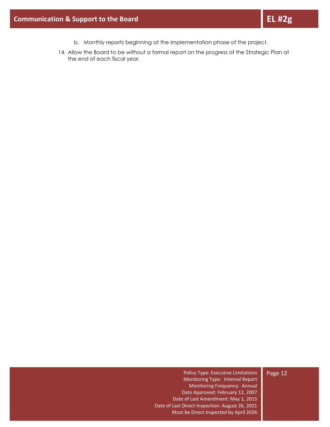- b. Monthly reports beginning at the implementation phase of the project.
- 14. Allow the Board to be without a formal report on the progress of the Strategic Plan at the end of each fiscal year.

#### Page 12

Policy Type: Executive Limitations Monitoring Type: Internal Report Monitoring Frequency: Annual Date Approved: February 12, 2007 Date of Last Amendment: May 1, 2015 Date of Last Direct Inspection: August 26, 2021 Must be Direct Inspected by April 2026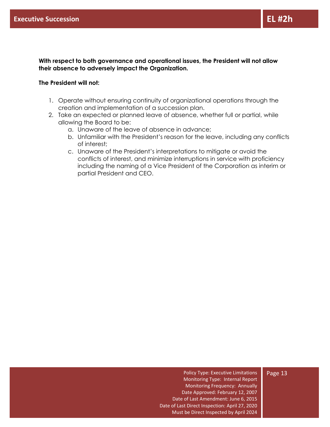**With respect to both governance and operational issues, the President will not allow their absence to adversely impact the Organization.**

#### <span id="page-13-0"></span>**The President will not:**

- 1. Operate without ensuring continuity of organizational operations through the creation and implementation of a succession plan.
- 2. Take an expected or planned leave of absence, whether full or partial, while allowing the Board to be:
	- a. Unaware of the leave of absence in advance;
	- b. Unfamiliar with the President's reason for the leave, including any conflicts of interest;
	- c. Unaware of the President's interpretations to mitigate or avoid the conflicts of interest, and minimize interruptions in service with proficiency including the naming of a Vice President of the Corporation as interim or partial President and CEO.

Policy Type: Executive Limitations Monitoring Type: Internal Report Monitoring Frequency: Annually Date Approved: February 12, 2007 Date of Last Amendment: June 6, 2015 Date of Last Direct Inspection: April 27, 2020 Must be Direct Inspected by April 2024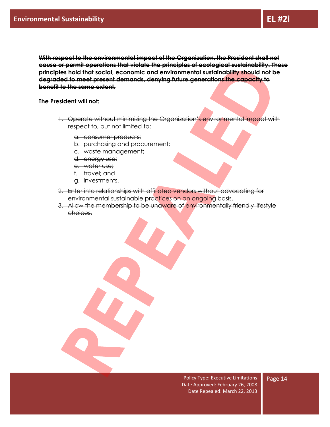**With respect to the environmental impact of the Organization, the President shall not cause or permit operations that violate the principles of ecological sustainability. These principles hold that social, economic and environmental sustainability should not be degraded to meet present demands, denying future generations the capacity to benefit to the same extent.**

<span id="page-14-0"></span>**The President will not:**

- 1. Operate without minimizing the Organization's environmental impact with respect to, but not limited to:
	- a. consumer products;
	- b. purchasing and procurement;
	- c. waste management;
	- d. energy use;
	- e. water use;
	- f. travel; and
	- g. investments.
- 2. Enter into relationships with affiliated vendors without advocating for environmental sustainable practices on an ongoing basis.
- 3. Allow the membership to be unaware of environmentally friendly lifestyle choices.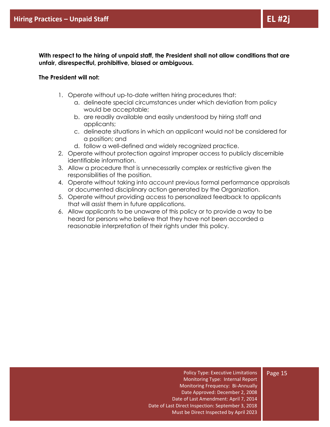**With respect to the hiring of unpaid staff, the President shall not allow conditions that are unfair, disrespectful, prohibitive, biased or ambiguous.**

#### <span id="page-15-0"></span>**The President will not:**

- 1. Operate without up-to-date written hiring procedures that:
	- a. delineate special circumstances under which deviation from policy would be acceptable;
	- b. are readily available and easily understood by hiring staff and applicants;
	- c. delineate situations in which an applicant would not be considered for a position; and
	- d. follow a well-defined and widely recognized practice.
- 2. Operate without protection against improper access to publicly discernible identifiable information.
- 3. Allow a procedure that is unnecessarily complex or restrictive given the responsibilities of the position.
- 4. Operate without taking into account previous formal performance appraisals or documented disciplinary action generated by the Organization.
- 5. Operate without providing access to personalized feedback to applicants that will assist them in future applications.
- 6. Allow applicants to be unaware of this policy or to provide a way to be heard for persons who believe that they have not been accorded a reasonable interpretation of their rights under this policy.

Policy Type: Executive Limitations Monitoring Type: Internal Report Monitoring Frequency: Bi-Annually Date Approved: December 2, 2008 Date of Last Amendment: April 7, 2014 Date of Last Direct Inspection: September 3, 2018 Must be Direct Inspected by April 2023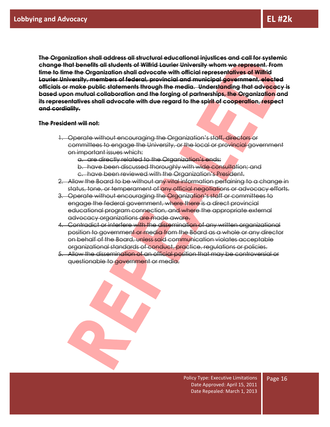**The Organization shall address all structural educational injustices and call for systemic change that benefits all students of Wilfrid Laurier University whom we represent. From time to time the Organization shall advocate with official representatives of Wilfrid Laurier University, members of federal, provincial and municipal government, elected officials or make public statements through the media. Understanding that advocacy is based upon mutual collaboration and the forging of partnerships, the Organization and its representatives shall advocate with due regard to the spirit of cooperation, respect and cordiality.** 

#### <span id="page-16-0"></span>**The President will not:**

- 1. Operate without encouraging the Organization's staff, directors or committees to engage the University, or the local or provincial government on important issues which:
	- a. are directly related to the Organization's ends;

- b. have been discussed thoroughly with wide consultation; and
- c. have been reviewed with the Organization's President.
- 2. Allow the Board to be without any vital information pertaining to a change in status, tone, or temperament of any official negotiations or advocacy efforts.
- 3. Operate without encouraging the Organization's staff or committees to engage the federal government, where there is a direct provincial educational program connection, and where the appropriate external advocacy organizations are made aware.
- 4. Contradict or interfere with the dissemination of any written organizational position to government or media from the Board as a whole or any director on behalf of the Board, unless said communication violates acceptable organizational standards of conduct, practice, regulations or policies.
- 5. Allow the dissemination of an official position that may be controversial or questionable to government or media.

Policy Type: Executive Limitations Date Approved: April 15, 2011 Date Repealed: March 1, 2013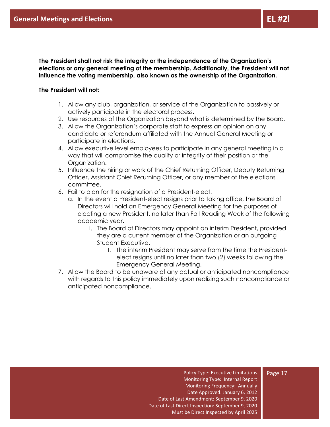**The President shall not risk the integrity or the independence of the Organization's elections or any general meeting of the membership. Additionally, the President will not influence the voting membership, also known as the ownership of the Organization.** 

#### <span id="page-17-0"></span>**The President will not:**

- 1. Allow any club, organization, or service of the Organization to passively or actively participate in the electoral process.
- 2. Use resources of the Organization beyond what is determined by the Board.
- 3. Allow the Organization's corporate staff to express an opinion on any candidate or referendum affiliated with the Annual General Meeting or participate in elections.
- 4. Allow executive level employees to participate in any general meeting in a way that will compromise the quality or integrity of their position or the Organization.
- 5. Influence the hiring or work of the Chief Returning Officer, Deputy Returning Officer, Assistant Chief Returning Officer, or any member of the elections committee.
- 6. Fail to plan for the resignation of a President-elect:
	- a. In the event a President-elect resigns prior to taking office, the Board of Directors will hold an Emergency General Meeting for the purposes of electing a new President, no later than Fall Reading Week of the following academic year.
		- i. The Board of Directors may appoint an interim President, provided they are a current member of the Organization or an outgoing Student Executive.
			- 1. The interim President may serve from the time the Presidentelect resigns until no later than two (2) weeks following the Emergency General Meeting.
- 7. Allow the Board to be unaware of any actual or anticipated noncompliance with regards to this policy immediately upon realizing such noncompliance or anticipated noncompliance.

Policy Type: Executive Limitations Monitoring Type: Internal Report Monitoring Frequency: Annually Date Approved: January 6, 2012 Date of Last Amendment: September 9, 2020 Date of Last Direct Inspection: September 9, 2020 Must be Direct Inspected by April 2025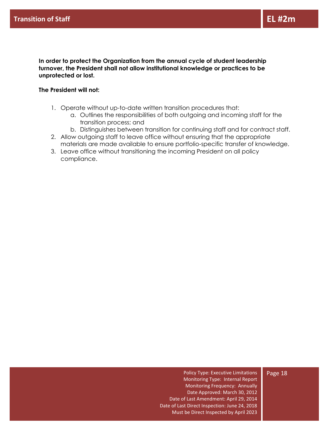**In order to protect the Organization from the annual cycle of student leadership turnover, the President shall not allow institutional knowledge or practices to be unprotected or lost.**

#### <span id="page-18-0"></span>**The President will not:**

- 1. Operate without up-to-date written transition procedures that:
	- a. Outlines the responsibilities of both outgoing and incoming staff for the transition process; and
	- b. Distinguishes between transition for continuing staff and for contract staff.
- 2. Allow outgoing staff to leave office without ensuring that the appropriate materials are made available to ensure portfolio-specific transfer of knowledge.
- 3. Leave office without transitioning the incoming President on all policy compliance.

Policy Type: Executive Limitations Monitoring Type: Internal Report Monitoring Frequency: Annually Date Approved: March 30, 2012 Date of Last Amendment: April 29, 2014 Date of Last Direct Inspection: June 24, 2018 Must be Direct Inspected by April 2023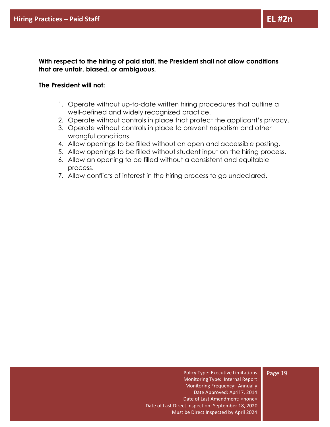**With respect to the hiring of paid staff, the President shall not allow conditions that are unfair, biased, or ambiguous.**

#### <span id="page-19-0"></span>**The President will not:**

- 1. Operate without up-to-date written hiring procedures that outline a well-defined and widely recognized practice.
- 2. Operate without controls in place that protect the applicant's privacy.
- 3. Operate without controls in place to prevent nepotism and other wrongful conditions.
- 4. Allow openings to be filled without an open and accessible posting.
- 5. Allow openings to be filled without student input on the hiring process.
- 6. Allow an opening to be filled without a consistent and equitable process.
- 7. Allow conflicts of interest in the hiring process to go undeclared.

Policy Type: Executive Limitations Monitoring Type: Internal Report Monitoring Frequency: Annually Date Approved: April 7, 2014 Date of Last Amendment: <none> Date of Last Direct Inspection: September 18, 2020 Must be Direct Inspected by April 2024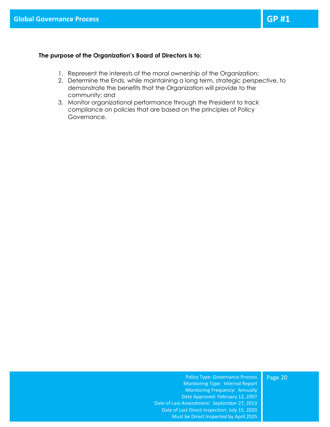#### <span id="page-20-0"></span>**The purpose of the Organization's Board of Directors is to:**

- 1. Represent the interests of the moral ownership of the Organization;
- 2. Determine the Ends, while maintaining a long term, strategic perspective, to demonstrate the benefits that the Organization will provide to the community; and
- 3. Monitor organizational performance through the President to track compliance on policies that are based on the principles of Policy Governance.

#### Page 20

Monitoring Type: Internal Report Monitoring Frequency: Annually Date Approved: February 12, 2007 Date of Last Amendment: September 27, 2013 Date of Last Direct Inspection: July 15, 2020 Must be Direct Inspected by April 2025

Policy Type: Governance Process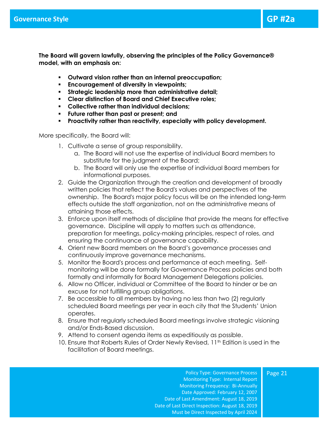<span id="page-21-0"></span>**The Board will govern lawfully, observing the principles of the Policy Governance® model, with an emphasis on:**

- **Outward vision rather than an internal preoccupation;**
- **Encouragement of diversity in viewpoints;**
- **Strategic leadership more than administrative detail;**
- **Clear distinction of Board and Chief Executive roles;**
- **Collective rather than individual decisions;**
- **Future rather than past or present; and**
- **Proactivity rather than reactivity, especially with policy development.**

More specifically, the Board will:

- 1. Cultivate a sense of group responsibility.
	- a. The Board will not use the expertise of individual Board members to substitute for the judgment of the Board;
	- b. The Board will only use the expertise of individual Board members for informational purposes.
- 2. Guide the Organization through the creation and development of broadly written policies that reflect the Board's values and perspectives of the ownership. The Board's major policy focus will be on the intended long-term effects outside the staff organization, not on the administrative means of attaining those effects.
- 3. Enforce upon itself methods of discipline that provide the means for effective governance. Discipline will apply to matters such as attendance, preparation for meetings, policy-making principles, respect of roles, and ensuring the continuance of governance capability.
- 4. Orient new Board members on the Board's governance processes and continuously improve governance mechanisms.
- 5. Monitor the Board's process and performance at each meeting. Selfmonitoring will be done formally for Governance Process policies and both formally and informally for Board Management Delegations policies.
- 6. Allow no Officer, individual or Committee of the Board to hinder or be an excuse for not fulfilling group obligations.
- 7. Be accessible to all members by having no less than two (2) regularly scheduled Board meetings per year in each city that the Students' Union operates.
- 8. Ensure that regularly scheduled Board meetings involve strategic visioning and/or Ends-Based discussion.
- 9. Attend to consent agenda items as expeditiously as possible.
- 10. Ensure that Roberts Rules of Order Newly Revised, 11<sup>th</sup> Edition is used in the facilitation of Board meetings.

Policy Type: Governance Process Monitoring Type: Internal Report Monitoring Frequency: Bi-Annually Date Approved: February 12, 2007 Date of Last Amendment: August 18, 2019 Date of Last Direct Inspection: August 18, 2019 Must be Direct Inspected by April 2024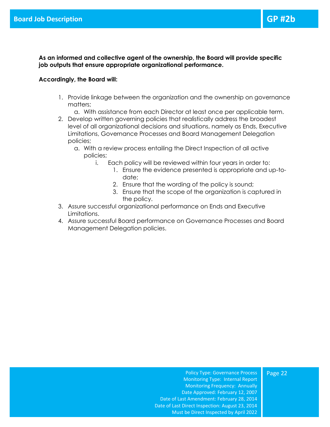**As an informed and collective agent of the ownership, the Board will provide specific job outputs that ensure appropriate organizational performance.**

#### <span id="page-22-0"></span>**Accordingly, the Board will:**

- 1. Provide linkage between the organization and the ownership on governance matters;
	- a. With assistance from each Director at least once per applicable term.
- 2. Develop written governing policies that realistically address the broadest level of all organizational decisions and situations, namely as Ends, Executive Limitations, Governance Processes and Board Management Delegation policies;
	- a. With a review process entailing the Direct Inspection of all active policies;
		- i. Each policy will be reviewed within four years in order to:
			- 1. Ensure the evidence presented is appropriate and up-todate;
			- 2. Ensure that the wording of the policy is sound;
			- 3. Ensure that the scope of the organization is captured in the policy.
- 3. Assure successful organizational performance on Ends and Executive Limitations.
- 4. Assure successful Board performance on Governance Processes and Board Management Delegation policies.

Page 22

Policy Type: Governance Process Monitoring Type: Internal Report Monitoring Frequency: Annually Date Approved: February 12, 2007 Date of Last Amendment: February 28, 2014 Date of Last Direct Inspection: August 23, 2014 Must be Direct Inspected by April 2022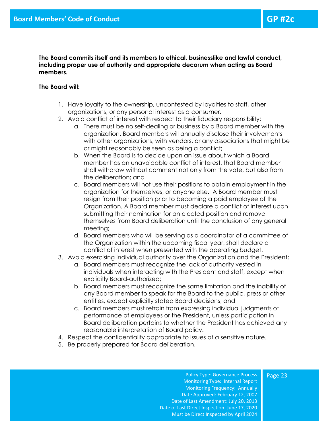**The Board commits itself and its members to ethical, businesslike and lawful conduct, including proper use of authority and appropriate decorum when acting as Board members.**

#### <span id="page-23-0"></span>**The Board will:**

- 1. Have loyalty to the ownership, uncontested by loyalties to staff, other organizations, or any personal interest as a consumer.
- 2. Avoid conflict of interest with respect to their fiduciary responsibility;
	- a. There must be no self-dealing or business by a Board member with the organization. Board members will annually disclose their involvements with other organizations, with vendors, or any associations that might be or might reasonably be seen as being a conflict;
	- b. When the Board is to decide upon an issue about which a Board member has an unavoidable conflict of interest, that Board member shall withdraw without comment not only from the vote, but also from the deliberation; and
	- c. Board members will not use their positions to obtain employment in the organization for themselves, or anyone else. A Board member must resign from their position prior to becoming a paid employee of the Organization. A Board member must declare a conflict of interest upon submitting their nomination for an elected position and remove themselves from Board deliberation until the conclusion of any general meeting;
	- d. Board members who will be serving as a coordinator of a committee of the Organization within the upcoming fiscal year, shall declare a conflict of interest when presented with the operating budget.
- 3. Avoid exercising individual authority over the Organization and the President;
	- a. Board members must recognize the lack of authority vested in individuals when interacting with the President and staff, except when explicitly Board-authorized;
	- b. Board members must recognize the same limitation and the inability of any Board member to speak for the Board to the public, press or other entities, except explicitly stated Board decisions; and
	- c. Board members must refrain from expressing individual judgments of performance of employees or the President, unless participation in Board deliberation pertains to whether the President has achieved any reasonable interpretation of Board policy.
- 4. Respect the confidentiality appropriate to issues of a sensitive nature.
- 5. Be properly prepared for Board deliberation.

Policy Type: Governance Process Monitoring Type: Internal Report Monitoring Frequency: Annually Date Approved: February 12, 2007 Date of Last Amendment: July 20, 2013 Date of Last Direct Inspection: June 17, 2020 Must be Direct Inspected by April 2024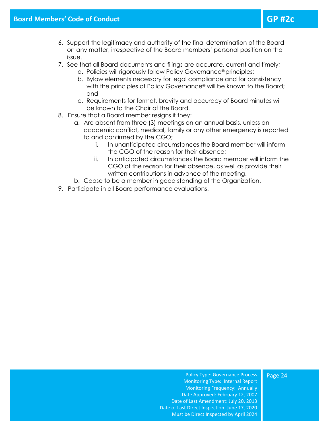- 6. Support the legitimacy and authority of the final determination of the Board on any matter, irrespective of the Board members' personal position on the issue.
- 7. See that all Board documents and filings are accurate, current and timely;
	- a. Policies will rigorously follow Policy Governance® principles;
	- b. Bylaw elements necessary for legal compliance and for consistency with the principles of Policy Governance® will be known to the Board; and
	- c. Requirements for format, brevity and accuracy of Board minutes will be known to the Chair of the Board.
- 8. Ensure that a Board member resigns if they:
	- a. Are absent from three (3) meetings on an annual basis, unless an academic conflict, medical, family or any other emergency is reported to and confirmed by the CGO;
		- i. In unanticipated circumstances the Board member will inform the CGO of the reason for their absence;
		- ii. In anticipated circumstances the Board member will inform the CGO of the reason for their absence, as well as provide their written contributions in advance of the meeting.
	- b. Cease to be a member in good standing of the Organization.
- 9. Participate in all Board performance evaluations.

Policy Type: Governance Process Monitoring Type: Internal Report Monitoring Frequency: Annually Date Approved: February 12, 2007 Date of Last Amendment: July 20, 2013 Date of Last Direct Inspection: June 17, 2020 Must be Direct Inspected by April 2024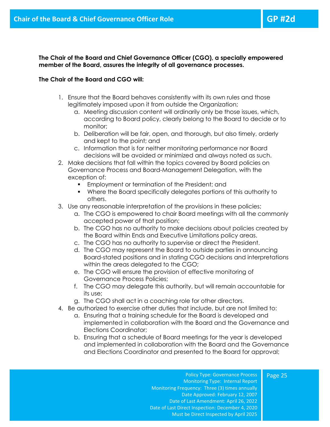Page 25

**The Chair of the Board and Chief Governance Officer (CGO), a specially empowered member of the Board, assures the integrity of all governance processes.** 

#### <span id="page-25-0"></span>**The Chair of the Board and CGO will:**

- 1. Ensure that the Board behaves consistently with its own rules and those legitimately imposed upon it from outside the Organization;
	- a. Meeting discussion content will ordinarily only be those issues, which, according to Board policy, clearly belong to the Board to decide or to monitor;
	- b. Deliberation will be fair, open, and thorough, but also timely, orderly and kept to the point; and
	- c. Information that is for neither monitoring performance nor Board decisions will be avoided or minimized and always noted as such.
- 2. Make decisions that fall within the topics covered by Board policies on Governance Process and Board-Management Delegation, with the exception of:
	- **Employment or termination of the President; and**
	- Where the Board specifically delegates portions of this authority to others.
- 3. Use any reasonable interpretation of the provisions in these policies;
	- a. The CGO is empowered to chair Board meetings with all the commonly accepted power of that position;
	- b. The CGO has no authority to make decisions about policies created by the Board within Ends and Executive Limitations policy areas.
	- c. The CGO has no authority to supervise or direct the President.
	- d. The CGO may represent the Board to outside parties in announcing Board-stated positions and in stating CGO decisions and interpretations within the areas delegated to the CGO;
	- e. The CGO will ensure the provision of effective monitoring of Governance Process Policies;
	- f. The CGO may delegate this authority, but will remain accountable for its use;
	- g. The CGO shall act in a coaching role for other directors.
- 4. Be authorized to exercise other duties that include, but are not limited to:
	- a. Ensuring that a training schedule for the Board is developed and implemented in collaboration with the Board and the Governance and Elections Coordinator;
	- b. Ensuring that a schedule of Board meetings for the year is developed and implemented in collaboration with the Board and the Governance and Elections Coordinator and presented to the Board for approval;

Policy Type: Governance Process Monitoring Type: Internal Report Monitoring Frequency: Three (3) times annually Date Approved: February 12, 2007 Date of Last Amendment: April 26, 2022 Date of Last Direct Inspection: December 4, 2020 Must be Direct Inspected by April 2025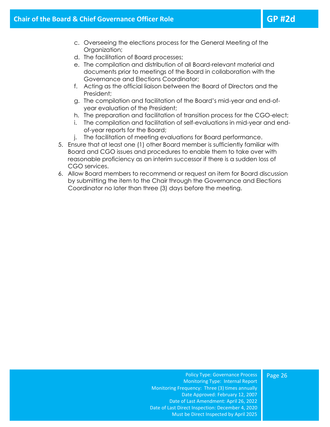- c. Overseeing the elections process for the General Meeting of the Organization;
- d. The facilitation of Board processes;
- e. The compilation and distribution of all Board-relevant material and documents prior to meetings of the Board in collaboration with the Governance and Elections Coordinator;
- f. Acting as the official liaison between the Board of Directors and the President;
- g. The compilation and facilitation of the Board's mid-year and end-ofyear evaluation of the President;
- h. The preparation and facilitation of transition process for the CGO-elect;
- i. The compilation and facilitation of self-evaluations in mid-year and endof-year reports for the Board;
- j. The facilitation of meeting evaluations for Board performance.
- 5. Ensure that at least one (1) other Board member is sufficiently familiar with Board and CGO issues and procedures to enable them to take over with reasonable proficiency as an interim successor if there is a sudden loss of CGO services.
- 6. Allow Board members to recommend or request an item for Board discussion by submitting the item to the Chair through the Governance and Elections Coordinator no later than three (3) days before the meeting.

#### Page 26

Policy Type: Governance Process Monitoring Type: Internal Report Monitoring Frequency: Three (3) times annually Date Approved: February 12, 2007 Date of Last Amendment: April 26, 2022 Date of Last Direct Inspection: December 4, 2020 Must be Direct Inspected by April 2025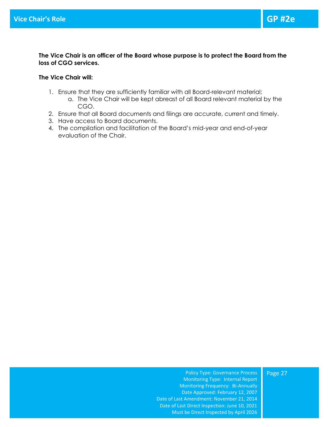**The Vice Chair is an officer of the Board whose purpose is to protect the Board from the loss of CGO services.**

#### <span id="page-27-0"></span>**The Vice Chair will:**

- 1. Ensure that they are sufficiently familiar with all Board-relevant material;
	- a. The Vice Chair will be kept abreast of all Board relevant material by the CGO.
- 2. Ensure that all Board documents and filings are accurate, current and timely.
- 3. Have access to Board documents.
- 4. The compilation and facilitation of the Board's mid-year and end-of-year evaluation of the Chair.

Policy Type: Governance Process Monitoring Type: Internal Report Monitoring Frequency: Bi-Annually Date Approved: February 12, 2007 Date of Last Amendment: November 21, 2014 Date of Last Direct Inspection: June 10, 2021 Must be Direct Inspected by April 2026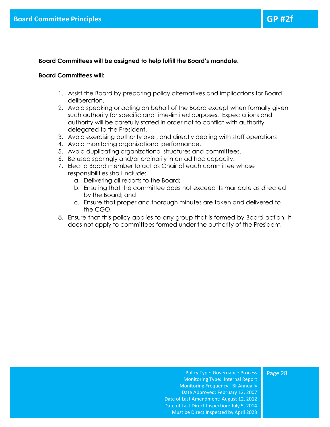#### **Board Committees will be assigned to help fulfill the Board's mandate.**

#### <span id="page-28-0"></span>**Board Committees will:**

- 1. Assist the Board by preparing policy alternatives and implications for Board deliberation.
- 2. Avoid speaking or acting on behalf of the Board except when formally given such authority for specific and time-limited purposes. Expectations and authority will be carefully stated in order not to conflict with authority delegated to the President.
- 3. Avoid exercising authority over, and directly dealing with staff operations
- 4. Avoid monitoring organizational performance.
- 5. Avoid duplicating organizational structures and committees.
- 6. Be used sparingly and/or ordinarily in an ad hoc capacity.
- 7. Elect a Board member to act as Chair of each committee whose responsibilities shall include:
	- a. Delivering all reports to the Board;
	- b. Ensuring that the committee does not exceed its mandate as directed by the Board; and
	- c. Ensure that proper and thorough minutes are taken and delivered to the CGO.
- 8. Ensure that this policy applies to any group that is formed by Board action. It does not apply to committees formed under the authority of the President.

Policy Type: Governance Process Monitoring Type: Internal Report Monitoring Frequency: Bi-Annually Date Approved: February 12, 2007 Date of Last Amendment: August 12, 2012 Date of Last Direct Inspection: July 5, 2014 Must be Direct Inspected by April 2023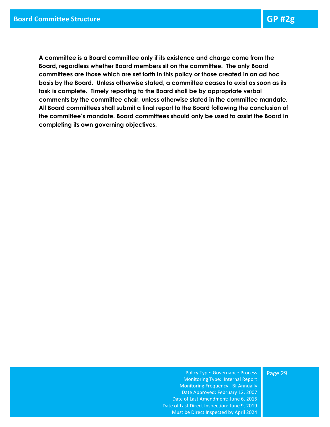<span id="page-29-0"></span>**A committee is a Board committee only if its existence and charge come from the Board, regardless whether Board members sit on the committee. The only Board committees are those which are set forth in this policy or those created in an ad hoc basis by the Board. Unless otherwise stated, a committee ceases to exist as soon as its task is complete. Timely reporting to the Board shall be by appropriate verbal comments by the committee chair, unless otherwise stated in the committee mandate. All Board committees shall submit a final report to the Board following the conclusion of the committee's mandate. Board committees should only be used to assist the Board in completing its own governing objectives.**

#### Page 29

Policy Type: Governance Process Monitoring Type: Internal Report Monitoring Frequency: Bi-Annually Date Approved: February 12, 2007 Date of Last Amendment: June 6, 2015 Date of Last Direct Inspection: June 9, 2019 Must be Direct Inspected by April 2024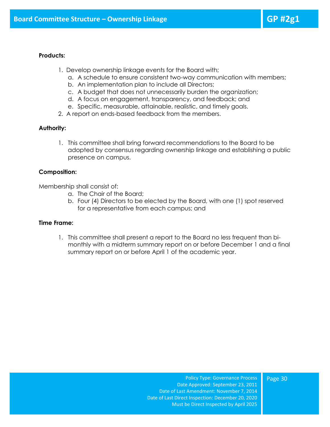- <span id="page-30-0"></span>1. Develop ownership linkage events for the Board with;
	- a. A schedule to ensure consistent two-way communication with members;
	- b. An implementation plan to include all Directors;
	- c. A budget that does not unnecessarily burden the organization;
	- d. A focus on engagement, transparency, and feedback; and
	- e. Specific, measurable, attainable, realistic, and timely goals.
- 2. A report on ends-based feedback from the members.

#### **Authority:**

1. This committee shall bring forward recommendations to the Board to be adopted by consensus regarding ownership linkage and establishing a public presence on campus.

#### **Composition:**

Membership shall consist of:

- a. The Chair of the Board;
- b. Four (4) Directors to be elected by the Board, with one (1) spot reserved for a representative from each campus; and

#### **Time Frame:**

1. This committee shall present a report to the Board no less frequent than bimonthly with a midterm summary report on or before December 1 and a final summary report on or before April 1 of the academic year.

> Policy Type: Governance Process Date Approved: September 23, 2011 Date of Last Amendment: November 7, 2014 Date of Last Direct Inspection: December 20, 2020 Must be Direct Inspected by April 2025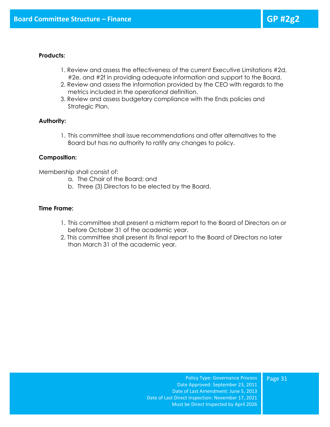- <span id="page-31-0"></span>1. Review and assess the effectiveness of the current Executive Limitations #2d, #2e, and #2f in providing adequate information and support to the Board.
- 2. Review and assess the information provided by the CEO with regards to the metrics included in the operational definition.
- 3. Review and assess budgetary compliance with the Ends policies and Strategic Plan.

#### **Authority:**

1. This committee shall issue recommendations and offer alternatives to the Board but has no authority to ratify any changes to policy.

#### **Composition:**

Membership shall consist of:

- a. The Chair of the Board; and
- b. Three (3) Directors to be elected by the Board.

#### **Time Frame:**

- 1. This committee shall present a midterm report to the Board of Directors on or before October 31 of the academic year.
- 2. This committee shall present its final report to the Board of Directors no later than March 31 of the academic year.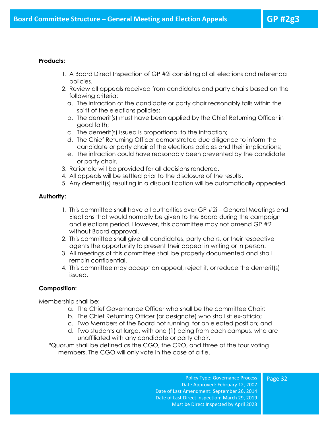- <span id="page-32-0"></span>1. A Board Direct Inspection of GP #2i consisting of all elections and referenda policies.
- 2. Review all appeals received from candidates and party chairs based on the following criteria:
	- a. The infraction of the candidate or party chair reasonably falls within the spirit of the elections policies;
	- b. The demerit(s) must have been applied by the Chief Returning Officer in good faith;
	- c. The demerit(s) issued is proportional to the infraction;
	- d. The Chief Returning Officer demonstrated due diligence to inform the candidate or party chair of the elections policies and their implications;
	- e. The infraction could have reasonably been prevented by the candidate or party chair.
- 3. Rationale will be provided for all decisions rendered.
- 4. All appeals will be settled prior to the disclosure of the results.
- 5. Any demerit(s) resulting in a disqualification will be automatically appealed.

#### **Authority:**

- 1. This committee shall have all authorities over GP #2i General Meetings and Elections that would normally be given to the Board during the campaign and elections period. However, this committee may not amend GP #2i without Board approval.
- 2. This committee shall give all candidates, party chairs, or their respective agents the opportunity to present their appeal in writing or in person.
- 3. All meetings of this committee shall be properly documented and shall remain confidential.
- 4. This committee may accept an appeal, reject it, or reduce the demerit(s) issued.

#### **Composition:**

Membership shall be:

- a. The Chief Governance Officer who shall be the committee Chair;
- b. The Chief Returning Officer (or designate) who shall sit ex-officio;
- c. Two Members of the Board not running for an elected position; and
- d. Two students at large, with one (1) being from each campus, who are unaffiliated with any candidate or party chair.

\*Quorum shall be defined as the CGO, the CRO, and three of the four voting members. The CGO will only vote in the case of a tie.

> Policy Type: Governance Process Date Approved: February 12, 2007 Date of Last Amendment: September 26, 2014 Date of Last Direct Inspection: March 29, 2019 Must be Direct Inspected by April 2023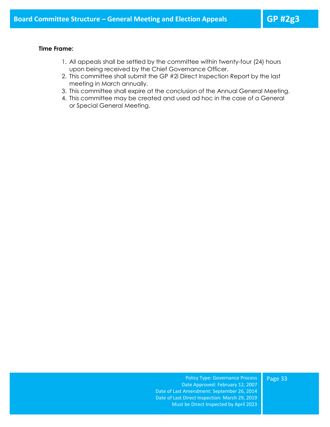#### **Time Frame:**

- 1. All appeals shall be settled by the committee within twenty-four (24) hours upon being received by the Chief Governance Officer.
- 2. This committee shall submit the GP #2i Direct Inspection Report by the last meeting in March annually.
- 3. This committee shall expire at the conclusion of the Annual General Meeting.
- 4. This committee may be created and used ad hoc in the case of a General or Special General Meeting.

Policy Type: Governance Process Date Approved: February 12, 2007 Date of Last Amendment: September 26, 2014 Date of Last Direct Inspection: March 29, 2019 Must be Direct Inspected by April 2023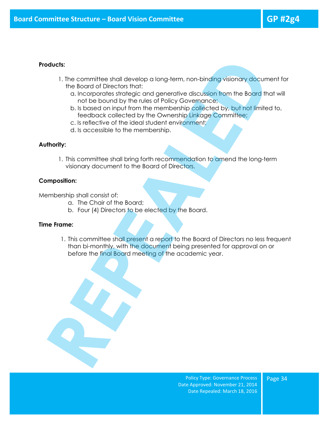- <span id="page-34-0"></span>1. The committee shall develop a long-term, non-binding visionary document for the Board of Directors that:
	- a. Incorporates strategic and generative discussion from the Board that will not be bound by the rules of Policy Governance;
	- b. Is based on input from the membership collected by, but not limited to, feedback collected by the Ownership Linkage Committee;
	- c. Is reflective of the ideal student environment;
	- d. Is accessible to the membership.

#### **Authority:**

1. This committee shall bring forth recommendation to amend the long-term visionary document to the Board of Directors.

#### **Composition:**

Membership shall consist of:

- a. The Chair of the Board;
- b. Four (4) Directors to be elected by the Board.

#### **Time Frame:**

1. This committee shall present a report to the Board of Directors no less frequent than bi-monthly, with the document being presented for approval on or before the final Board meeting of the academic year.



Policy Type: Governance Process Date Approved: November 21, 2014 Date Repealed: March 18, 2016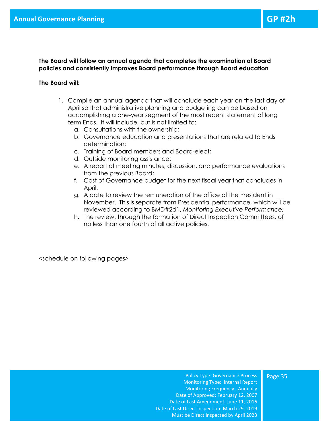**The Board will follow an annual agenda that completes the examination of Board policies and consistently improves Board performance through Board education**

#### <span id="page-35-0"></span>**The Board will:**

- 1. Compile an annual agenda that will conclude each year on the last day of April so that administrative planning and budgeting can be based on accomplishing a one-year segment of the most recent statement of long term Ends. It will include, but is not limited to:
	- a. Consultations with the ownership;
	- b. Governance education and presentations that are related to Ends determination;
	- c. Training of Board members and Board-elect;
	- d. Outside monitoring assistance;
	- e. A report of meeting minutes, discussion, and performance evaluations from the previous Board;
	- f. Cost of Governance budget for the next fiscal year that concludes in April;
	- g. A date to review the remuneration of the office of the President in November. This is separate from Presidential performance, which will be reviewed according to BMD#2d1, *Monitoring Executive Performance;*
	- h. The review, through the formation of Direct Inspection Committees, of no less than one fourth of all active policies.

<schedule on following pages>

Policy Type: Governance Process Monitoring Type: Internal Report Monitoring Frequency: Annually Date of Approved: February 12, 2007 Date of Last Amendment: June 11, 2016 Date of Last Direct Inspection: March 29, 2019 Must be Direct Inspected by April 2023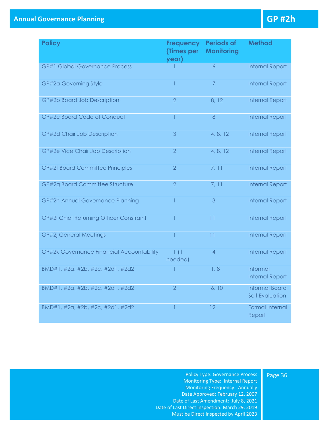| <b>Policy</b>                             | <b>Frequency</b><br><b>(Times per</b><br>year) | <b>Periods of</b><br><b>Monitoring</b> | <b>Method</b>                                   |
|-------------------------------------------|------------------------------------------------|----------------------------------------|-------------------------------------------------|
| <b>GP#1 Global Governance Process</b>     |                                                | 6                                      | <b>Internal Report</b>                          |
| GP#2a Governing Style                     | 1                                              | $\overline{7}$                         | <b>Internal Report</b>                          |
| GP#2b Board Job Description               | $\overline{2}$                                 | 8, 12                                  | <b>Internal Report</b>                          |
| GP#2c Board Code of Conduct               | $\overline{1}$                                 | 8                                      | <b>Internal Report</b>                          |
| GP#2d Chair Job Description               | 3                                              | 4, 8, 12                               | <b>Internal Report</b>                          |
| GP#2e Vice Chair Job Description          | $\overline{2}$                                 | 4, 8, 12                               | <b>Internal Report</b>                          |
| <b>GP#2f Board Committee Principles</b>   | $\overline{2}$                                 | 7, 11                                  | <b>Internal Report</b>                          |
| GP#2g Board Committee Structure           | $\overline{2}$                                 | 7, 11                                  | <b>Internal Report</b>                          |
| GP#2h Annual Governance Planning          |                                                | 3                                      | <b>Internal Report</b>                          |
| GP#2i Chief Returning Officer Constraint  | 1                                              | 11                                     | <b>Internal Report</b>                          |
| <b>GP#2j General Meetings</b>             | 1                                              | 11                                     | <b>Internal Report</b>                          |
| GP#2k Governance Financial Accountability | $1$ (if<br>needed)                             | 4                                      | <b>Internal Report</b>                          |
| BMD#1, #2a, #2b, #2c, #2d1, #2d2          |                                                | 1, 8                                   | Informal<br><b>Internal Report</b>              |
| BMD#1, #2a, #2b, #2c, #2d1, #2d2          | $\overline{2}$                                 | 6, 10                                  | <b>Informal Board</b><br><b>Self Evaluation</b> |
| BMD#1, #2a, #2b, #2c, #2d1, #2d2          |                                                | 12                                     | <b>Formal Internal</b><br>Report                |

Policy Type: Governance Process Monitoring Type: Internal Report Monitoring Frequency: Annually Date Approved: February 12, 2007 Date of Last Amendment: July 8, 2021 Date of Last Direct Inspection: March 29, 2019 Must be Direct Inspected by April 2023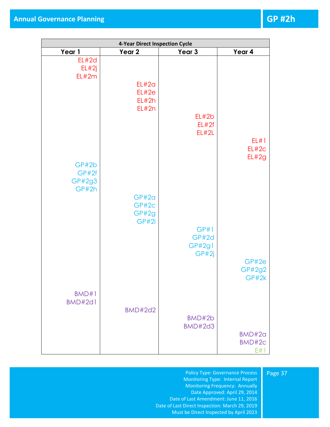| 4-Year Direct Inspection Cycle |                                  |                                  |                                                     |
|--------------------------------|----------------------------------|----------------------------------|-----------------------------------------------------|
| Year 4                         | Year 3                           | Year 2                           | Year 1                                              |
| EL#1<br>EL#2c<br>EL#2g         | EL#2b<br>EL#2f<br>EL#2L          | EL#2a<br>EL#2e<br>EL#2h<br>EL#2n | EL#2d<br>EL#2j<br>EL#2m<br>GP#2b<br>GP#2f<br>GP#2g3 |
| GP#2e<br>GP#2g2<br>GP#2k       | GP#1<br>GP#2d<br>GP#2g1<br>GP#2j | GP#2a<br>GP#2c<br>GP#2g<br>GP#2i | GP#2h                                               |
| BMD#2a<br>BMD#2c<br>E#1        | BMD#2b<br><b>BMD#2d3</b>         | <b>BMD#2d2</b>                   | BMD#1<br><b>BMD#2d1</b>                             |

#### Page 37

Policy Type: Governance Process Monitoring Type: Internal Report Monitoring Frequency: Annually Date Approved: April 29, 2014 Date of Last Amendment: June 11, 2016 Date of Last Direct Inspection: March 29, 2019 Must be Direct Inspected by April 2023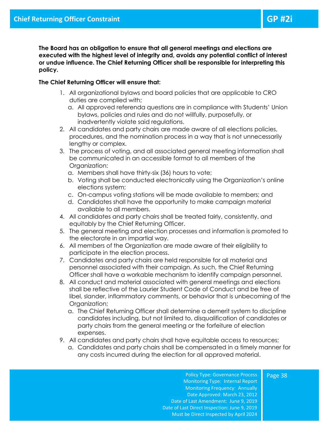**The Board has an obligation to ensure that all general meetings and elections are executed with the highest level of integrity and, avoids any potential conflict of interest or undue influence. The Chief Returning Officer shall be responsible for interpreting this policy.**

#### **The Chief Returning Officer will ensure that:**

- <span id="page-38-0"></span>1. All organizational bylaws and board policies that are applicable to CRO duties are complied with;
	- a. All approved referenda questions are in compliance with Students' Union bylaws, policies and rules and do not willfully, purposefully, or inadvertently violate said regulations.
- 2. All candidates and party chairs are made aware of all elections policies, procedures, and the nomination process in a way that is not unnecessarily lengthy or complex.
- 3. The process of voting, and all associated general meeting information shall be communicated in an accessible format to all members of the Organization:
	- a. Members shall have thirty-six (36) hours to vote;
	- b. Voting shall be conducted electronically using the Organization's online elections system;
	- c. On-campus voting stations will be made available to members; and
	- d. Candidates shall have the opportunity to make campaign material available to all members.
- 4. All candidates and party chairs shall be treated fairly, consistently, and equitably by the Chief Returning Officer.
- 5. The general meeting and election processes and information is promoted to the electorate in an impartial way.
- 6. All members of the Organization are made aware of their eligibility to participate in the election process.
- 7. Candidates and party chairs are held responsible for all material and personnel associated with their campaign. As such, the Chief Returning Officer shall have a workable mechanism to identify campaign personnel.
- 8. All conduct and material associated with general meetings and elections shall be reflective of the Laurier Student Code of Conduct and be free of libel, slander, inflammatory comments, or behavior that is unbecoming of the Organization;
	- a. The Chief Returning Officer shall determine a demerit system to discipline candidates including, but not limited to, disqualification of candidates or party chairs from the general meeting or the forfeiture of election expenses.
- 9. All candidates and party chairs shall have equitable access to resources;
	- a. Candidates and party chairs shall be compensated in a timely manner for any costs incurred during the election for all approved material.

Policy Type: Governance Process Monitoring Type: Internal Report Monitoring Frequency: Annually Date Approved: March 23, 2012 Date of Last Amendment: June 9, 2019 Date of Last Direct Inspection: June 9, 2019 Must be Direct Inspected by April 2024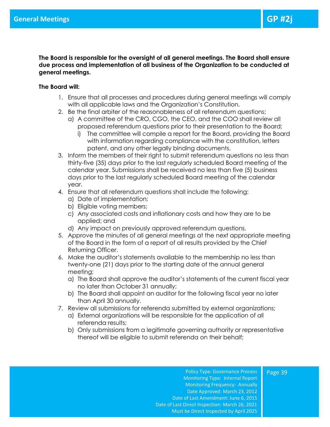**The Board is responsible for the oversight of all general meetings. The Board shall ensure due process and implementation of all business of the Organization to be conducted at general meetings.** 

#### **The Board will:**

- <span id="page-39-0"></span>1. Ensure that all processes and procedures during general meetings will comply with all applicable laws and the Organization's Constitution.
- 2. Be the final arbiter of the reasonableness of all referendum questions;
	- a) A committee of the CRO, CGO, the CEO, and the COO shall review all proposed referendum questions prior to their presentation to the Board;
		- i) The committee will compile a report for the Board, providing the Board with information regarding compliance with the constitution, letters patent, and any other legally binding documents.
- 3. Inform the members of their right to submit referendum questions no less than thirty-five (35) days prior to the last regularly scheduled Board meeting of the calendar year. Submissions shall be received no less than five (5) business days prior to the last regularly scheduled Board meeting of the calendar year.
- 4. Ensure that all referendum questions shall include the following:
	- a) Date of implementation;
	- b) Eligible voting members;
	- c) Any associated costs and inflationary costs and how they are to be applied; and
	- d) Any impact on previously approved referendum questions.
- 5. Approve the minutes of all general meetings at the next appropriate meeting of the Board in the form of a report of all results provided by the Chief Returning Officer.
- 6. Make the auditor's statements available to the membership no less than twenty-one (21) days prior to the starting date of the annual general meeting;
	- a) The Board shall approve the auditor's statements of the current fiscal year no later than October 31 annually;
	- b) The Board shall appoint an auditor for the following fiscal year no later than April 30 annually.
- 7. Review all submissions for referenda submitted by external organizations;
	- a) External organizations will be responsible for the application of all referenda results;
	- b) Only submissions from a legitimate governing authority or representative thereof will be eligible to submit referenda on their behalf;

Policy Type: Governance Process Monitoring Type: Internal Report Monitoring Frequency: Annually Date Approved: March 23, 2012 Date of Last Amendment: June 6, 2015 Date of Last Direct Inspection: March 26, 2021 Must be Direct Inspected by April 2025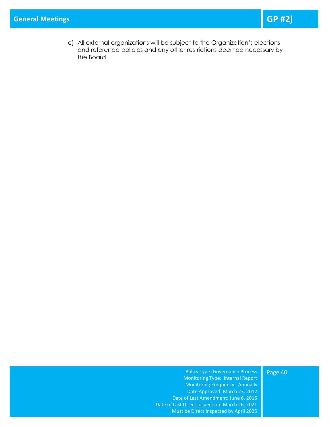c) All external organizations will be subject to the Organization's elections and referenda policies and any other restrictions deemed necessary by the Board.

#### Policy Type: Governance Process Monitoring Type: Internal Report Monitoring Frequency: Annually Date Approved: March 23, 2012 Date of Last Amendment: June 6, 2015 Date of Last Direct Inspection: March 26, 2021 Must be Direct Inspected by April 2025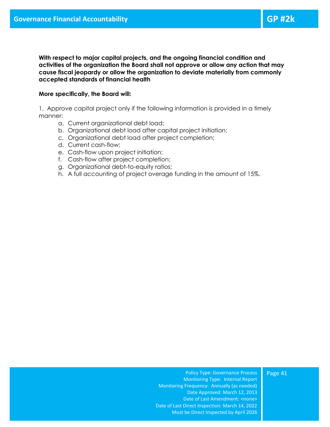**With respect to major capital projects, and the ongoing financial condition and activities of the organization the Board shall not approve or allow any action that may cause fiscal jeopardy or allow the organization to deviate materially from commonly accepted standards of financial health**

#### <span id="page-41-0"></span>**More specifically, the Board will:**

1. Approve capital project only if the following information is provided in a timely manner:

- a. Current organizational debt load;
- b. Organizational debt load after capital project initiation;
- c. Organizational debt load after project completion;
- d. Current cash-flow;
- e. Cash-flow upon project initiation;
- f. Cash-flow after project completion;
- g. Organizational debt-to-equity ratios;
- h. A full accounting of project overage funding in the amount of 15%.

Policy Type: Governance Process Monitoring Type: Internal Report Monitoring Frequency: Annually (as needed) Date Approved: March 12, 2013 Date of Last Amendment: <none> Date of Last Direct Inspection: March 14, 2022 Must be Direct Inspected by April 2026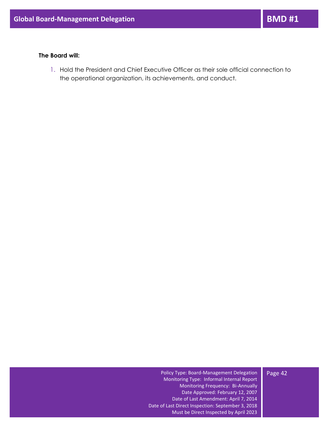#### **The Board will:**

<span id="page-42-0"></span>1. Hold the President and Chief Executive Officer as their sole official connection to the operational organization, its achievements, and conduct.

Page 42

Policy Type: Board-Management Delegation Monitoring Type: Informal Internal Report Monitoring Frequency: Bi-Annually Date Approved: February 12, 2007 Date of Last Amendment: April 7, 2014 Date of Last Direct Inspection: September 3, 2018 Must be Direct Inspected by April 2023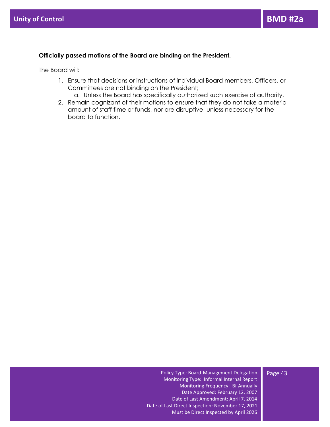#### **Officially passed motions of the Board are binding on the President.**

The Board will:

- <span id="page-43-0"></span>1. Ensure that decisions or instructions of individual Board members, Officers, or Committees are not binding on the President;
	- a. Unless the Board has specifically authorized such exercise of authority.
- 2. Remain cognizant of their motions to ensure that they do not take a material amount of staff time or funds, nor are disruptive, unless necessary for the board to function.

Page 43

Policy Type: Board-Management Delegation Monitoring Type: Informal Internal Report Monitoring Frequency: Bi-Annually Date Approved: February 12, 2007 Date of Last Amendment: April 7, 2014 Date of Last Direct Inspection: November 17, 2021 Must be Direct Inspected by April 2026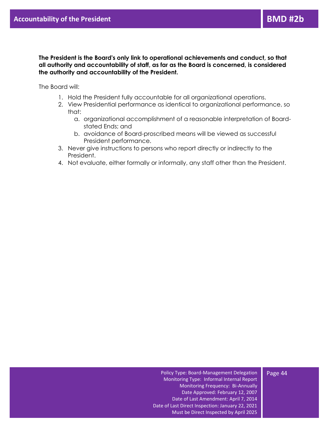**The President is the Board's only link to operational achievements and conduct, so that all authority and accountability of staff, as far as the Board is concerned, is considered the authority and accountability of the President.**

<span id="page-44-0"></span>The Board will:

- 1. Hold the President fully accountable for all organizational operations.
- 2. View Presidential performance as identical to organizational performance, so that:
	- a. organizational accomplishment of a reasonable interpretation of Boardstated Ends; and
	- b. avoidance of Board-proscribed means will be viewed as successful President performance.
- 3. Never give instructions to persons who report directly or indirectly to the President.
- 4. Not evaluate, either formally or informally, any staff other than the President.

Policy Type: Board-Management Delegation Monitoring Type: Informal Internal Report Monitoring Frequency: Bi-Annually Date Approved: February 12, 2007 Date of Last Amendment: April 7, 2014 Date of Last Direct Inspection: January 22, 2021 Must be Direct Inspected by April 2025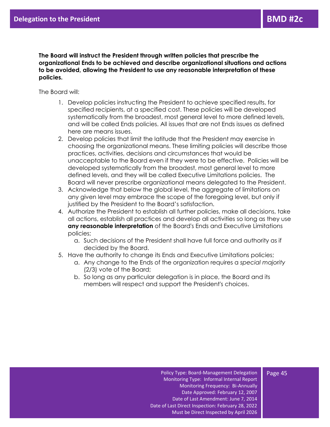**The Board will instruct the President through written policies that prescribe the organizational Ends to be achieved and describe organizational situations and actions to be avoided, allowing the President to use any reasonable interpretation of these policies.**

The Board will:

- <span id="page-45-0"></span>1. Develop policies instructing the President to achieve specified results, for specified recipients, at a specified cost. These policies will be developed systematically from the broadest, most general level to more defined levels, and will be called Ends policies. All issues that are not Ends issues as defined here are means issues.
- 2. Develop policies that limit the latitude that the President may exercise in choosing the organizational means. These limiting policies will describe those practices, activities, decisions and circumstances that would be unacceptable to the Board even if they were to be effective. Policies will be developed systematically from the broadest, most general level to more defined levels, and they will be called Executive Limitations policies. The Board will never prescribe organizational means delegated to the President.
- 3. Acknowledge that below the global level, the aggregate of limitations on any given level may embrace the scope of the foregoing level, but only if justified by the President to the Board's satisfaction.
- 4. Authorize the President to establish all further policies, make all decisions, take all actions, establish all practices and develop all activities so long as they use **any reasonable interpretation** of the Board's Ends and Executive Limitations policies;
	- a. Such decisions of the President shall have full force and authority as if decided by the Board.
- 5. Have the authority to change its Ends and Executive Limitations policies;
	- a. Any change to the Ends of the organization requires a *special majority* (2/3) vote of the Board;
	- b. So long as any particular delegation is in place, the Board and its members will respect and support the President's choices.

#### Policy Type: Board-Management Delegation Monitoring Type: Informal Internal Report Monitoring Frequency: Bi-Annually Date Approved: February 12, 2007 Date of Last Amendment: June 7, 2014 Date of Last Direct Inspection: February 28, 2022 Must be Direct Inspected by April 2026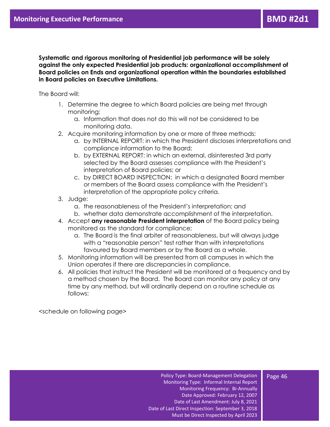**Systematic and rigorous monitoring of Presidential job performance will be solely against the only expected Presidential job products: organizational accomplishment of Board policies on Ends and organizational operation within the boundaries established in Board policies on Executive Limitations.** 

<span id="page-46-0"></span>The Board will:

- 1. Determine the degree to which Board policies are being met through monitoring;
	- a. Information that does not do this will not be considered to be monitoring data.
- 2. Acquire monitoring information by one or more of three methods:
	- a. by INTERNAL REPORT: in which the President discloses interpretations and compliance information to the Board;
	- b. by EXTERNAL REPORT: in which an external, disinterested 3rd party selected by the Board assesses compliance with the President's interpretation of Board policies; or
	- c. by DIRECT BOARD INSPECTION: in which a designated Board member or members of the Board assess compliance with the President's interpretation of the appropriate policy criteria.
- 3. Judge:
	- a. the reasonableness of the President's interpretation; and
	- b. whether data demonstrate accomplishment of the interpretation.
- 4. Accept **any reasonable President interpretation** of the Board policy being monitored as the standard for compliance;
	- a. The Board is the final arbiter of reasonableness, but will always judge with a "reasonable person" test rather than with interpretations favoured by Board members or by the Board as a whole.
- 5. Monitoring information will be presented from all campuses in which the Union operates if there are discrepancies in compliance.
- 6. All policies that instruct the President will be monitored at a frequency and by a method chosen by the Board. The Board can monitor any policy at any time by any method, but will ordinarily depend on a routine schedule as follows:

<schedule on following page>

#### Policy Type: Board-Management Delegation Monitoring Type: Informal Internal Report Monitoring Frequency: Bi-Annually Date Approved: February 12, 2007 Date of Last Amendment: July 8, 2021 Date of Last Direct Inspection: September 3, 2018 Must be Direct Inspected by April 2023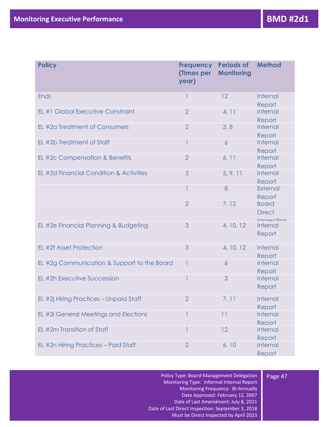| <b>Policy</b>                               | <b>Frequency</b><br>(Times per<br>year) | <b>Periods of</b><br><b>Monitoring</b> | <b>Method</b>                               |
|---------------------------------------------|-----------------------------------------|----------------------------------------|---------------------------------------------|
| <b>Ends</b>                                 | 1                                       | 12                                     | <b>Internal</b><br>Report                   |
| EL #1 Global Executive Constraint           | $\overline{2}$                          | 4, 11                                  | Internal<br>Report                          |
| EL #2a Treatment of Consumers               | $\overline{2}$                          | 3, 8                                   | Internal<br>Report                          |
| EL #2b Treatment of Staff                   | 1                                       | $\overline{6}$                         | Internal<br>Report                          |
| EL #2c Compensation & Benefits              | $\overline{2}$                          | 6, 11                                  | Internal<br>Report                          |
| EL #2d Financial Condition & Activities     | 3                                       | 5, 9, 11                               | Internal<br>Report                          |
|                                             | 1                                       | 8                                      | External<br>Report                          |
|                                             | $\overline{2}$                          | 7, 12                                  | <b>Board</b><br><b>Direct</b><br>Inchection |
| EL #2e Financial Planning & Budgeting       | 3                                       | 4, 10, 12                              | <b>Internal</b><br>Report                   |
| EL #2f Asset Protection                     | 3                                       | 4, 10, 12                              | Internal<br>Report                          |
| EL #2g Communication & Support to the Board | $\mathbf{1}$                            | 6                                      | Internal<br>Report                          |
| EL #2h Executive Succession                 | 1                                       | 3                                      | Internal<br>Report                          |
| EL #2j Hiring Practices - Unpaid Staff      | $\overline{2}$                          | 7, 11                                  | Internal<br>Report                          |
| EL #2I General Meetings and Elections       |                                         | 11                                     | Internal<br>Report                          |
| EL #2m Transition of Staff                  |                                         | 12                                     | Internal<br>Report                          |
| EL #2n Hiring Practices - Paid Staff        | $\overline{2}$                          | 6, 10                                  | Internal<br>Report                          |

Policy Type: Board-Management Delegation Monitoring Type: Informal Internal Report Monitoring Frequency: Bi-Annually Date Approved: February 12, 2007 Date of Last Amendment: July 8, 2021 Date of Last Direct Inspection: September 3, 2018 Must be Direct Inspected by April 2023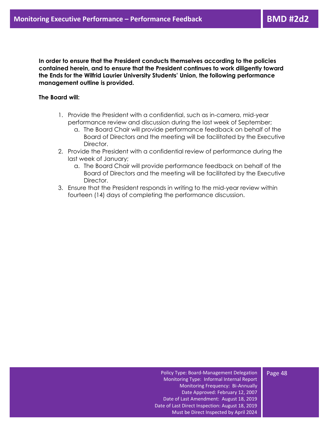**In order to ensure that the President conducts themselves according to the policies contained herein, and to ensure that the President continues to work diligently toward the Ends for the Wilfrid Laurier University Students' Union, the following performance management outline is provided.** 

#### <span id="page-48-0"></span>**The Board will:**

- 1. Provide the President with a confidential, such as in-camera, mid-year performance review and discussion during the last week of September;
	- a. The Board Chair will provide performance feedback on behalf of the Board of Directors and the meeting will be facilitated by the Executive Director.
- 2. Provide the President with a confidential review of performance during the last week of January;
	- a. The Board Chair will provide performance feedback on behalf of the Board of Directors and the meeting will be facilitated by the Executive Director.
- 3. Ensure that the President responds in writing to the mid-year review within fourteen (14) days of completing the performance discussion.

#### Page 48

Policy Type: Board-Management Delegation Monitoring Type: Informal Internal Report Monitoring Frequency: Bi-Annually Date Approved: February 12, 2007 Date of Last Amendment: August 18, 2019 Date of Last Direct Inspection: August 18, 2019 Must be Direct Inspected by April 2024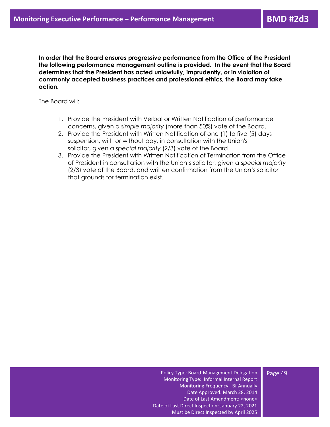**In order that the Board ensures progressive performance from the Office of the President the following performance management outline is provided. In the event that the Board determines that the President has acted unlawfully, imprudently, or in violation of commonly accepted business practices and professional ethics, the Board may take action.**

<span id="page-49-0"></span>The Board will:

- 1. Provide the President with Verbal or Written Notification of performance concerns, given a *simple majority* (more than 50%) vote of the Board.
- 2. Provide the President with Written Notification of one (1) to five (5) days suspension, with or without pay, in consultation with the Union's solicitor, given a *special majority* (2/3) vote of the Board.
- 3. Provide the President with Written Notification of Termination from the Office of President in consultation with the Union's solicitor, given a *special majority* (2/3) vote of the Board, and written confirmation from the Union's solicitor that grounds for termination exist.